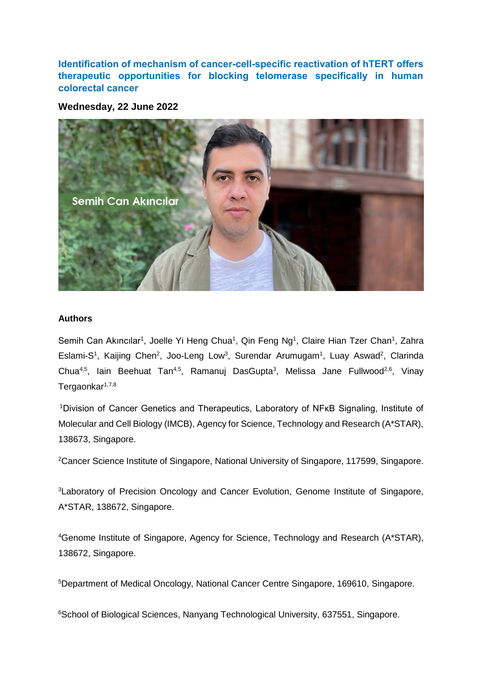**Identification of mechanism of cancer-cell-specific reactivation of hTERT offers therapeutic opportunities for blocking telomerase specifically in human colorectal cancer**

**Wednesday, 22 June 2022**



## **Authors**

Semih Can Akıncılar<sup>1</sup>, Joelle Yi Heng Chua<sup>1</sup>, Qin Feng Ng<sup>1</sup>, Claire Hian Tzer Chan<sup>1</sup>, Zahra Eslami-S<sup>1</sup>, Kaijing Chen<sup>2</sup>, Joo-Leng Low<sup>3</sup>, Surendar Arumugam<sup>1</sup>, Luay Aswad<sup>2</sup>, Clarinda Chua<sup>4,5</sup>, lain Beehuat Tan<sup>4,5</sup>, Ramanuj DasGupta<sup>3</sup>, Melissa Jane Fullwood<sup>2,6</sup>, Vinay Tergaonkar<sup>1,7,8</sup>

<sup>1</sup>Division of Cancer Genetics and Therapeutics, Laboratory of NFκB Signaling, Institute of Molecular and Cell Biology (IMCB), Agency for Science, Technology and Research (A\*STAR), 138673, Singapore.

<sup>2</sup>Cancer Science Institute of Singapore, National University of Singapore, 117599, Singapore.

<sup>3</sup> Laboratory of Precision Oncology and Cancer Evolution, Genome Institute of Singapore, A\*STAR, 138672, Singapore.

<sup>4</sup>Genome Institute of Singapore, Agency for Science, Technology and Research (A\*STAR), 138672, Singapore.

<sup>5</sup>Department of Medical Oncology, National Cancer Centre Singapore, 169610, Singapore.

<sup>6</sup>School of Biological Sciences, Nanyang Technological University, 637551, Singapore.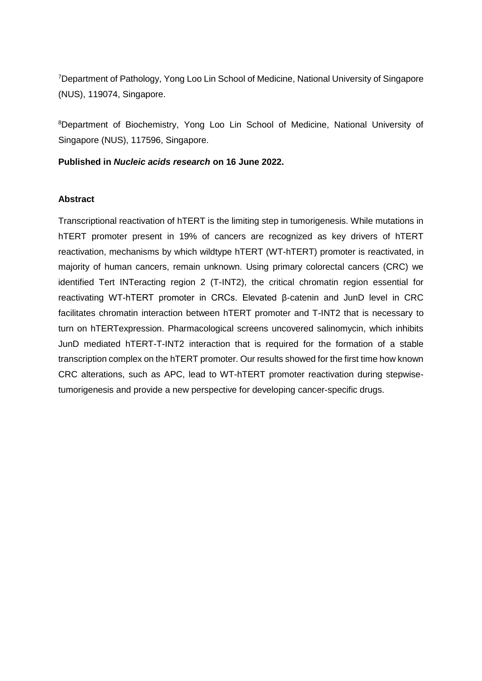<sup>7</sup>Department of Pathology, Yong Loo Lin School of Medicine, National University of Singapore (NUS), 119074, Singapore.

<sup>8</sup>Department of Biochemistry, Yong Loo Lin School of Medicine, National University of Singapore (NUS), 117596, Singapore.

## **Published in** *Nucleic acids research* **on 16 June 2022.**

## **Abstract**

Transcriptional reactivation of hTERT is the limiting step in tumorigenesis. While mutations in hTERT promoter present in 19% of cancers are recognized as key drivers of hTERT reactivation, mechanisms by which wildtype hTERT (WT-hTERT) promoter is reactivated, in majority of human cancers, remain unknown. Using primary colorectal cancers (CRC) we identified Tert INTeracting region 2 (T-INT2), the critical chromatin region essential for reactivating WT-hTERT promoter in CRCs. Elevated β-catenin and JunD level in CRC facilitates chromatin interaction between hTERT promoter and T-INT2 that is necessary to turn on hTERTexpression. Pharmacological screens uncovered salinomycin, which inhibits JunD mediated hTERT-T-INT2 interaction that is required for the formation of a stable transcription complex on the hTERT promoter. Our results showed for the first time how known CRC alterations, such as APC, lead to WT-hTERT promoter reactivation during stepwisetumorigenesis and provide a new perspective for developing cancer-specific drugs.